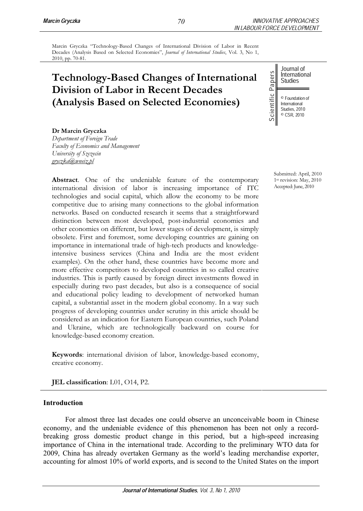Marcin Gryczka "Technology-Based Changes of International Division of Labor in Recent Decades (Analysis Based on Selected Economies", *Journal of International Studies*, Vol. 3, No 1, 2010, pp. 70-81.

# **Technology-Based Changes of International Division of Labor in Recent Decades (Analysis Based on Selected Economies)**

Journal of International Studies

© Foundation of International Studies, 2010 © CSR, 2010

**Dr Marcin Gryczka**  *Department of Foreign Trade* 

*Faculty of Economics and Management University of Szczecin gryczka@wneiz.pl*

**Abstract**. One of the undeniable feature of the contemporary international division of labor is increasing importance of ITC technologies and social capital, which allow the economy to be more competitive due to arising many connections to the global information networks. Based on conducted research it seems that a straightforward distinction between most developed, post-industrial economies and other economies on different, but lower stages of development, is simply obsolete. First and foremost, some developing countries are gaining on importance in international trade of high-tech products and knowledgeintensive business services (China and India are the most evident examples). On the other hand, these countries have become more and more effective competitors to developed countries in so called creative industries. This is partly caused by foreign direct investments flowed in especially during two past decades, but also is a consequence of social and educational policy leading to development of networked human capital, a substantial asset in the modern global economy. In a way such progress of developing countries under scrutiny in this article should be considered as an indication for Eastern European countries, such Poland and Ukraine, which are technologically backward on course for knowledge-based economy creation. **Technology-Based Changes of International**<br>
Division of Labor in Recent Decades<br>
(Analysis Based on Selected Economies)<br>  $\frac{1}{\sqrt{2}}$ <br>  $\frac{1}{\sqrt{2}}$ <br>  $\frac{1}{\sqrt{2}}$ <br>  $\frac{1}{\sqrt{2}}$ <br>  $\frac{1}{\sqrt{2}}$ <br>  $\frac{1}{\sqrt{2}}$ <br>  $\frac{1}{\sqrt{2}}$ <br>

**Keywords**: international division of labor, knowledge-based economy, creative economy.

**JEL classification**: L01, O14, P2.

# **Introduction**

For almost three last decades one could observe an unconceivable boom in Chinese economy, and the undeniable evidence of this phenomenon has been not only a recordbreaking gross domestic product change in this period, but a high-speed increasing importance of China in the international trade. According to the preliminary WTO data for 2009, China has already overtaken Germany as the world's leading merchandise exporter,

Submitted: April, 2010 1st revision: May, 2010 Accepted: June, 2010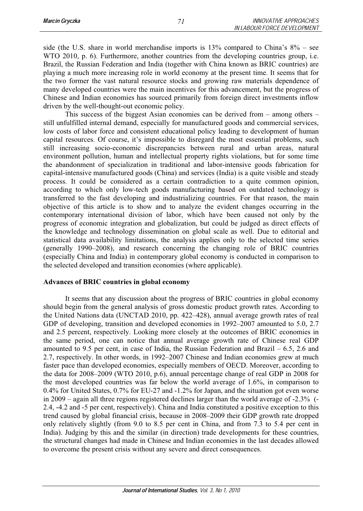side (the U.S. share in world merchandise imports is 13% compared to China's 8% – see WTO 2010, p. 6). Furthermore, another countries from the developing countries group, i.e. Brazil, the Russian Federation and India (together with China known as BRIC countries) are playing a much more increasing role in world economy at the present time. It seems that for the two former the vast natural resource stocks and growing raw materials dependence of many developed countries were the main incentives for this advancement, but the progress of Chinese and Indian economies has sourced primarily from foreign direct investments inflow driven by the well-thought-out economic policy.

This success of the biggest Asian economies can be derived from – among others – still unfulfilled internal demand, especially for manufactured goods and commercial services, low costs of labor force and consistent educational policy leading to development of human capital resources. Of course, it's impossible to disregard the most essential problems, such still increasing socio-economic discrepancies between rural and urban areas, natural environment pollution, human and intellectual property rights violations, but for some time the abandonment of specialization in traditional and labor-intensive goods fabrication for capital-intensive manufactured goods (China) and services (India) is a quite visible and steady process. It could be considered as a certain contradiction to a quite common opinion, according to which only low-tech goods manufacturing based on outdated technology is transferred to the fast developing and industrializing countries. For that reason, the main objective of this article is to show and to analyze the evident changes occurring in the contemporary international division of labor, which have been caused not only by the progress of economic integration and globalization, but could be judged as direct effects of the knowledge and technology dissemination on global scale as well. Due to editorial and statistical data availability limitations, the analysis applies only to the selected time series (generally 1990–2008), and research concerning the changing role of BRIC countries (especially China and India) in contemporary global economy is conducted in comparison to the selected developed and transition economies (where applicable).

## **Advances of BRIC countries in global economy**

 It seems that any discussion about the progress of BRIC countries in global economy should begin from the general analysis of gross domestic product growth rates. According to the United Nations data (UNCTAD 2010, pp. 422–428), annual average growth rates of real GDP of developing, transition and developed economies in 1992–2007 amounted to 5.0, 2.7 and 2.5 percent, respectively. Looking more closely at the outcomes of BRIC economies in the same period, one can notice that annual average growth rate of Chinese real GDP amounted to 9.5 per cent, in case of India, the Russian Federation and Brazil – 6.5, 2.6 and 2.7, respectively. In other words, in 1992–2007 Chinese and Indian economies grew at much faster pace than developed economies, especially members of OECD. Moreover, according to the data for 2008–2009 (WTO 2010, p.6), annual percentage change of real GDP in 2008 for the most developed countries was far below the world average of 1.6%, in comparison to 0.4% for United States, 0.7% for EU-27 and -1.2% for Japan, and the situation got even worse in 2009 – again all three regions registered declines larger than the world average of -2.3% (- 2.4, -4.2 and -5 per cent, respectively). China and India constituted a positive exception to this trend caused by global financial crisis, because in 2008–2009 their GDP growth rate dropped only relatively slightly (from 9.0 to 8.5 per cent in China, and from 7.3 to 5.4 per cent in India). Judging by this and the similar (in direction) trade developments for these countries, the structural changes had made in Chinese and Indian economies in the last decades allowed to overcome the present crisis without any severe and direct consequences.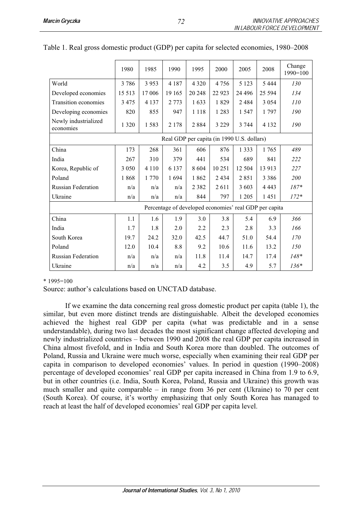|                                   | 1980                                       | 1985    | 1990    | 1995    | 2000    | 2005     | 2008                                                   | Change<br>$1990=100$ |
|-----------------------------------|--------------------------------------------|---------|---------|---------|---------|----------|--------------------------------------------------------|----------------------|
| World                             | 3786                                       | 3 9 5 3 | 4 1 8 7 | 4 3 2 0 | 4 7 5 6 | 5 1 2 3  | 5 4 4 4                                                | 130                  |
| Developed economies               | 15 5 13                                    | 17 006  | 19 165  | 20 24 8 | 22 9 23 | 24 4 9 6 | 25 5 94                                                | 134                  |
| <b>Transition economies</b>       | 3475                                       | 4 1 3 7 | 2 7 7 3 | 1633    | 1829    | 2484     | 3 0 5 4                                                | 110                  |
| Developing economies              | 820                                        | 855     | 947     | 1 1 1 8 | 1 2 8 3 | 1547     | 1 7 9 7                                                | 190                  |
| Newly industrialized<br>economies | 1 3 2 0                                    | 1583    | 2 1 7 8 | 2884    | 3 2 2 9 | 3 7 4 4  | 4 1 3 2                                                | 190                  |
|                                   | Real GDP per capita (in 1990 U.S. dollars) |         |         |         |         |          |                                                        |                      |
| China                             | 173                                        | 268     | 361     | 606     | 876     | 1 3 3 3  | 1765                                                   | 489                  |
| India                             | 267                                        | 310     | 379     | 441     | 534     | 689      | 841                                                    | 222                  |
| Korea, Republic of                | 3 0 5 0                                    | 4 1 1 0 | 6 1 3 7 | 8604    | 10 25 1 | 12 504   | 13 913                                                 | 227                  |
| Poland                            | 1868                                       | 1 770   | 1694    | 1862    | 2 4 3 4 | 2851     | 3 3 8 6                                                | 200                  |
| <b>Russian Federation</b>         | n/a                                        | n/a     | n/a     | 2 3 8 2 | 2611    | 3 603    | 4 4 4 3                                                | $187*$               |
| Ukraine                           | n/a                                        | n/a     | n/a     | 844     | 797     | 1 2 0 5  | 1451                                                   | $172*$               |
|                                   |                                            |         |         |         |         |          | Percentage of developed economies' real GDP per capita |                      |
| China                             | 1.1                                        | 1.6     | 1.9     | 3.0     | 3.8     | 5.4      | 6.9                                                    | 366                  |
| India                             | 1.7                                        | 1.8     | 2.0     | 2.2     | 2.3     | 2.8      | 3.3                                                    | 166                  |
| South Korea                       | 19.7                                       | 24.2    | 32.0    | 42.5    | 44.7    | 51.0     | 54.4                                                   | 170                  |
| Poland                            | 12.0                                       | 10.4    | 8.8     | 9.2     | 10.6    | 11.6     | 13.2                                                   | 150                  |
| <b>Russian Federation</b>         | n/a                                        | n/a     | n/a     | 11.8    | 11.4    | 14.7     | 17.4                                                   | $148*$               |
| Ukraine                           | n/a                                        | n/a     | n/a     | 4.2     | 3.5     | 4.9      | 5.7                                                    | $136*$               |

| Table 1. Real gross domestic product (GDP) per capita for selected economies, 1980–2008 |  |  |  |  |  |
|-----------------------------------------------------------------------------------------|--|--|--|--|--|
|-----------------------------------------------------------------------------------------|--|--|--|--|--|

\* 1995=100

Source: author's calculations based on UNCTAD database.

 If we examine the data concerning real gross domestic product per capita (table 1), the similar, but even more distinct trends are distinguishable. Albeit the developed economies achieved the highest real GDP per capita (what was predictable and in a sense understandable), during two last decades the most significant change affected developing and newly industrialized countries – between 1990 and 2008 the real GDP per capita increased in China almost fivefold, and in India and South Korea more than doubled. The outcomes of Poland, Russia and Ukraine were much worse, especially when examining their real GDP per capita in comparison to developed economies' values. In period in question (1990–2008) percentage of developed economies' real GDP per capita increased in China from 1.9 to 6.9, but in other countries (i.e. India, South Korea, Poland, Russia and Ukraine) this growth was much smaller and quite comparable – in range from 36 per cent (Ukraine) to 70 per cent (South Korea). Of course, it's worthy emphasizing that only South Korea has managed to reach at least the half of developed economies' real GDP per capita level.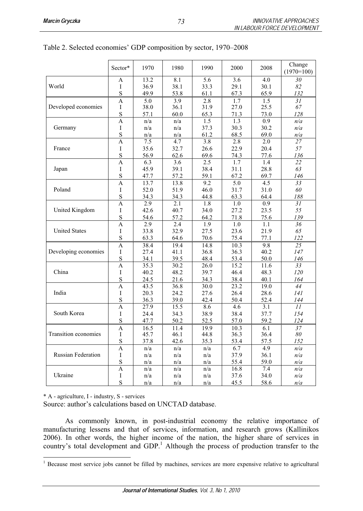|                           | Sector* | 1970         | 1980         | 1990         | 2000         | 2008         | Change<br>$(1970=100)$ |
|---------------------------|---------|--------------|--------------|--------------|--------------|--------------|------------------------|
|                           | A       | 13.2         | 8.1          | 5.6          | 3.6          | 4.0          | 30                     |
| World                     | I       | 36.9         | 38.1         | 33.3         | 29.1         | 30.1         | 82                     |
|                           | S       | 49.9         | 53.8         | 61.1         | 67.3         | 65.9         | 132                    |
|                           | A       | 5.0          | 3.9          | 2.8          | 1.7          | 1.5          | 31                     |
| Developed economies       | I       | 38.0         | 36.1         | 31.9         | 27.0         | 25.5         | 67                     |
|                           | S<br>A  | 57.1<br>n/a  | 60.0<br>n/a  | 65.3<br>1.5  | 71.3<br>1.3  | 73.0<br>0.9  | 128<br>n/a             |
| Germany                   | I       | n/a          | n/a          | 37.3         | 30.3         | 30.2         | n/a                    |
|                           | S       | n/a          | n/a          | 61.2         | 68.5         | 69.0         | n/a                    |
|                           | A       | 7.5          | 4.7          | 3.8          | 2.8          | 2.0          | 27                     |
| France                    | I       | 35.6         | 32.7         | 26.6         | 22.9         | 20.4         | 57                     |
|                           | S       | 56.9         | 62.6         | 69.6         | 74.3         | 77.6         | 136                    |
|                           | A       | 6.3          | 3.6          | 2.5          | 1.7          | 1.4          | 22                     |
| Japan                     | I       | 45.9         | 39.1         | 38.4         | 31.1         | 28.8         | 63                     |
|                           | S       | 47.7         | 57.2         | 59.1         | 67.2         | 69.7         | 146                    |
|                           | A       | 13.7         | 13.8         | 9.2          | 5.0          | 4.5          | 33                     |
| Poland                    | I       | 52.0         | 51.9         | 46.0         | 31.7         | 31.0         | 60                     |
|                           | S<br>A  | 34.3<br>2.9  | 34.3<br>2.1  | 44.8<br>1.8  | 63.3<br>1.0  | 64.4<br>0.9  | 188<br>31              |
| United Kingdom            | I       | 42.6         | 40.7         | 34.0         | 27.2         | 23.5         | 55                     |
|                           | S       | 54.6         | 57.2         | 64.2         | 71.8         | 75.6         | 139                    |
|                           | A       | 2.9          | 2.4          | 1.9          | 1.0          | 1.1          | 36                     |
| <b>United States</b>      | I       | 33.8         | 32.9         | 27.5         | 23.6         | 21.9         | 65                     |
|                           | S       | 63.3         | 64.6         | 70.6         | 75.4         | 77.1         | 122                    |
|                           | A       | 38.4         | 19.4         | 14.8         | 10.3         | 9.8          | 25                     |
| Developing economies      | I       | 27.4         | 41.1         | 36.8         | 36.3         | 40.2         | 147                    |
|                           | S       | 34.1         | 39.5         | 48.4         | 53.4         | 50.0         | 146                    |
|                           | A       | 35.3         | 30.2         | 26.0         | 15.2         | 11.6         | 33                     |
| China                     | I       | 40.2         | 48.2         | 39.7         | 46.4         | 48.3         | 120                    |
|                           | S<br>A  | 24.5<br>43.5 | 21.6<br>36.8 | 34.3<br>30.0 | 38.4<br>23.2 | 40.1<br>19.0 | 164<br>44              |
| India                     | I       | 20.3         | 24.2         | 27.6         | 26.4         | 28.6         | 141                    |
|                           | S       | 36.3         | 39.0         | 42.4         | 50.4         | 52.4         | 144                    |
|                           | A       | 27.9         | 15.5         | 8.6          | 4.6          | 3.1          | 11                     |
| South Korea               | I       | 24.4         | 34.3         | 38.9         | 38.4         | 37.7         | 154                    |
|                           | S       | 47.7         | 50.2         | 52.5         | 57.0         | 59.2         | 124                    |
|                           | A       | 16.5         | 11.4         | 19.9         | 10.3         | 6.1          | 37                     |
| Transition economies      | L       | 45.7         | 46.1         | 44.8         | 36.3         | 36.4         | 80                     |
|                           | S       | 37.8         | 42.6         | 35.3         | 53.4         | 57.5         | 152                    |
|                           | A       | n/a          | n/a          | n/a          | 6.7          | 4.9          | n/a                    |
| <b>Russian Federation</b> | I       | n/a          | n/a          | n/a          | 37.9         | 36.1         | n/a                    |
|                           | S       | n/a          | n/a          | n/a          | 55.4         | 59.0         | n/a                    |
| Ukraine                   | A<br>I  | n/a<br>n/a   | n/a<br>n/a   | n/a<br>n/a   | 16.8<br>37.6 | 7.4<br>34.0  | n/a<br>n/a             |
|                           | S       | n/a          | n/a          | n/a          | 45.5         | 58.6         | n/a                    |
|                           |         |              |              |              |              |              |                        |

Table 2. Selected economies' GDP composition by sector, 1970–2008

\* A - agriculture, I - industry, S - services

Source: author's calculations based on UNCTAD database.

As commonly known, in post-industrial economy the relative importance of manufacturing lessens and that of services, information, and research grows (Kallinikos 2006). In other words, the higher income of the nation, the higher share of services in country's total development and GDP.<sup>1</sup> Although the process of production transfer to the

<sup>&</sup>lt;sup>1</sup> Because most service jobs cannot be filled by machines, services are more expensive relative to agricultural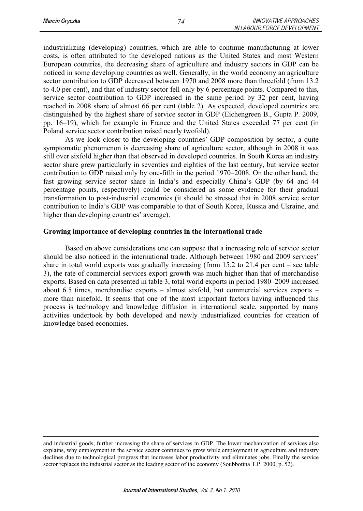industrializing (developing) countries, which are able to continue manufacturing at lower costs, is often attributed to the developed nations as the United States and most Western European countries, the decreasing share of agriculture and industry sectors in GDP can be noticed in some developing countries as well. Generally, in the world economy an agriculture sector contribution to GDP decreased between 1970 and 2008 more than threefold (from 13.2 to 4.0 per cent), and that of industry sector fell only by 6 percentage points. Compared to this, service sector contribution to GDP increased in the same period by 32 per cent, having reached in 2008 share of almost 66 per cent (table 2). As expected, developed countries are distinguished by the highest share of service sector in GDP (Eichengreen B., Gupta P. 2009, pp. 16–19), which for example in France and the United States exceeded 77 per cent (in Poland service sector contribution raised nearly twofold).

 As we look closer to the developing countries' GDP composition by sector, a quite symptomatic phenomenon is decreasing share of agriculture sector, although in 2008 it was still over sixfold higher than that observed in developed countries. In South Korea an industry sector share grew particularly in seventies and eighties of the last century, but service sector contribution to GDP raised only by one-fifth in the period 1970–2008. On the other hand, the fast growing service sector share in India's and especially China's GDP (by 64 and 44 percentage points, respectively) could be considered as some evidence for their gradual transformation to post-industrial economies (it should be stressed that in 2008 service sector contribution to India's GDP was comparable to that of South Korea, Russia and Ukraine, and higher than developing countries' average).

### **Growing importance of developing countries in the international trade**

Based on above considerations one can suppose that a increasing role of service sector should be also noticed in the international trade. Although between 1980 and 2009 services' share in total world exports was gradually increasing (from 15.2 to 21.4 per cent – see table 3), the rate of commercial services export growth was much higher than that of merchandise exports. Based on data presented in table 3, total world exports in period 1980–2009 increased about 6.5 times, merchandise exports – almost sixfold, but commercial services exports – more than ninefold. It seems that one of the most important factors having influenced this process is technology and knowledge diffusion in international scale, supported by many activities undertook by both developed and newly industrialized countries for creation of knowledge based economies.

and industrial goods, further increasing the share of services in GDP. The lower mechanization of services also explains, why employment in the service sector continues to grow while employment in agriculture and industry declines due to technological progress that increases labor productivity and eliminates jobs. Finally the service sector replaces the industrial sector as the leading sector of the economy (Soubbotina T.P. 2000, p. 52).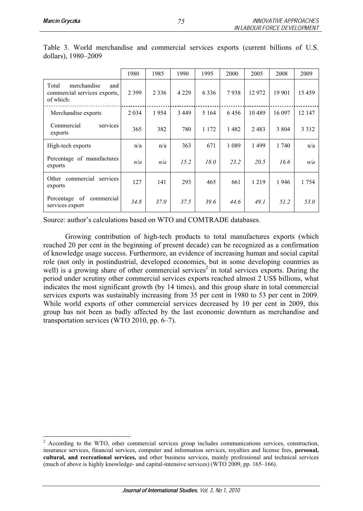|                                                                          | 1980    | 1985    | 1990    | 1995    | 2000    | 2005    | 2008    | 2009    |
|--------------------------------------------------------------------------|---------|---------|---------|---------|---------|---------|---------|---------|
| Total<br>merchandise<br>and<br>commercial services exports,<br>of which: | 2 3 9 9 | 2 3 3 6 | 4 2 2 9 | 6336    | 7938    | 12 972  | 19 901  | 15 4 59 |
| Merchandise exports                                                      | 2 0 3 4 | 1954    | 3 4 4 9 | 5 1 6 4 | 6456    | 10489   | 16 097  | 12 147  |
| Commercial<br>services<br>exports                                        | 365     | 382     | 780     | 1 1 7 2 | 1482    | 2483    | 3 8 0 4 | 3 3 1 2 |
| High-tech exports                                                        | n/a     | n/a     | 363     | 671     | 1 0 8 9 | 1499    | 1 740   | n/a     |
| Percentage of manufactures<br>exports                                    | n/a     | n/a     | 15.2    | 18.0    | 23.2    | 20.5    | 16.6    | n/a     |
| Other commercial services<br>exports                                     | 127     | 141     | 293     | 465     | 661     | 1 2 1 9 | 1946    | 1 7 5 4 |
| of<br>commercial<br>Percentage<br>services export                        | 34.8    | 37.0    | 37.5    | 39.6    | 44.6    | 49.1    | 51.2    | 53.0    |

Table 3. World merchandise and commercial services exports (current billions of U.S. dollars), 1980–2009

Source: author's calculations based on WTO and COMTRADE databases.

 Growing contribution of high-tech products to total manufactures exports (which reached 20 per cent in the beginning of present decade) can be recognized as a confirmation of knowledge usage success. Furthermore, an evidence of increasing human and social capital role (not only in postindustrial, developed economies, but in some developing countries as well) is a growing share of other commercial services<sup>2</sup> in total services exports. During the period under scrutiny other commercial services exports reached almost 2 US\$ billions, what indicates the most significant growth (by 14 times), and this group share in total commercial services exports was sustainably increasing from 35 per cent in 1980 to 53 per cent in 2009. While world exports of other commercial services decreased by 10 per cent in 2009, this group has not been as badly affected by the last economic downturn as merchandise and transportation services (WTO 2010, pp. 6–7).

<sup>&</sup>lt;sup>2</sup> According to the WTO, other commercial services group includes communications services, construction, insurance services, financial services, computer and information services, royalties and license fees, **personal, cultural, and recreational services,** and other business services, mainly professional and technical services (much of above is highly knowledge- and capital-intensive services) (WTO 2009, pp. 165–166).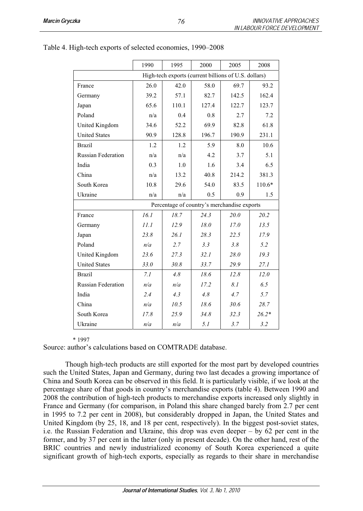|                           | 1990 | 1995  | 2000  | 2005                                                 | 2008     |
|---------------------------|------|-------|-------|------------------------------------------------------|----------|
|                           |      |       |       | High-tech exports (current billions of U.S. dollars) |          |
| France                    | 26.0 | 42.0  | 58.0  | 69.7                                                 | 93.2     |
| Germany                   | 39.2 | 57.1  | 82.7  | 142.5                                                | 162.4    |
| Japan                     | 65.6 | 110.1 | 127.4 | 122.7                                                | 123.7    |
| Poland                    | n/a  | 0.4   | 0.8   | 2.7                                                  | 7.2      |
| United Kingdom            | 34.6 | 52.2  | 69.9  | 82.8                                                 | 61.8     |
| <b>United States</b>      | 90.9 | 128.8 | 196.7 | 190.9                                                | 231.1    |
| <b>Brazil</b>             | 1.2  | 1.2   | 5.9   | 8.0                                                  | 10.6     |
| <b>Russian Federation</b> | n/a  | n/a   | 4.2   | 3.7                                                  | 5.1      |
| India                     | 0.3  | 1.0   | 1.6   | 3.4                                                  | 6.5      |
| China                     | n/a  | 13.2  | 40.8  | 214.2                                                | 381.3    |
| South Korea               | 10.8 | 29.6  | 54.0  | 83.5                                                 | $110.6*$ |
| Ukraine                   | n/a  | n/a   | 0.5   | 0.9                                                  | 1.5      |
|                           |      |       |       | Percentage of country's merchandise exports          |          |
| France                    | 16.1 | 18.7  | 24.3  | 20.0                                                 | 20.2     |
| Germany                   | 11.1 | 12.9  | 18.0  | 17.0                                                 | 13.5     |
| Japan                     | 23.8 | 26.1  | 28.3  | 22.5                                                 | 17.9     |
| Poland                    | n/a  | 2.7   | 3.3   | 3.8                                                  | 5.2      |
| United Kingdom            | 23.6 | 27.3  | 32.1  | 28.0                                                 | 19.3     |
| <b>United States</b>      | 33.0 | 30.8  | 33.7  | 29.9                                                 | 27.1     |
| <b>Brazil</b>             | 7.1  | 4.8   | 18.6  | 12.8                                                 | 12.0     |
| <b>Russian Federation</b> | n/a  | n/a   | 17.2  | 8.1                                                  | 6.5      |
| India                     | 2.4  | 4.3   | 4.8   | 4.7                                                  | 5.7      |
| China                     | n/a  | 10.5  | 18.6  | 30.6                                                 | 28.7     |
| South Korea               | 17.8 | 25.9  | 34.8  | 32.3                                                 | $26.2*$  |
| Ukraine                   | n/a  | n/a   | 5.1   | 3.7                                                  | 3.2      |

# Table 4. High-tech exports of selected economies, 1990–2008

#### \* 1997

Source: author's calculations based on COMTRADE database.

 Though high-tech products are still exported for the most part by developed countries such the United States, Japan and Germany, during two last decades a growing importance of China and South Korea can be observed in this field. It is particularly visible, if we look at the percentage share of that goods in country's merchandise exports (table 4). Between 1990 and 2008 the contribution of high-tech products to merchandise exports increased only slightly in France and Germany (for comparison, in Poland this share changed barely from 2.7 per cent in 1995 to 7.2 per cent in 2008), but considerably dropped in Japan, the United States and United Kingdom (by 25, 18, and 18 per cent, respectively). In the biggest post-soviet states, i.e. the Russian Federation and Ukraine, this drop was even deeper – by 62 per cent in the former, and by 37 per cent in the latter (only in present decade). On the other hand, rest of the BRIC countries and newly industrialized economy of South Korea experienced a quite significant growth of high-tech exports, especially as regards to their share in merchandise

*76*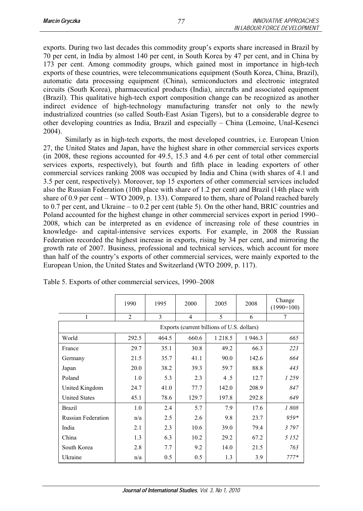exports. During two last decades this commodity group's exports share increased in Brazil by 70 per cent, in India by almost 140 per cent, in South Korea by 47 per cent, and in China by 173 per cent. Among commodity groups, which gained most in importance in high-tech exports of these countries, were telecommunications equipment (South Korea, China, Brazil), automatic data processing equipment (China), semiconductors and electronic integrated circuits (South Korea), pharmaceutical products (India), aircrafts and associated equipment (Brazil). This qualitative high-tech export composition change can be recognized as another indirect evidence of high-technology manufacturing transfer not only to the newly industrialized countries (so called South-East Asian Tigers), but to a considerable degree to other developing countries as India, Brazil and especially – China (Lemoine, Unal-Kesenci 2004).

 Similarly as in high-tech exports, the most developed countries, i.e. European Union 27, the United States and Japan, have the highest share in other commercial services exports (in 2008, these regions accounted for 49.5, 15.3 and 4.6 per cent of total other commercial services exports, respectively), but fourth and fifth place in leading exporters of other commercial services ranking 2008 was occupied by India and China (with shares of 4.1 and 3.5 per cent, respectively). Moreover, top 15 exporters of other commercial services included also the Russian Federation (10th place with share of 1.2 per cent) and Brazil (14th place with share of 0.9 per cent – WTO 2009, p. 133). Compared to them, share of Poland reached barely to 0.7 per cent, and Ukraine – to 0.2 per cent (table 5). On the other hand, BRIC countries and Poland accounted for the highest change in other commercial services export in period 1990– 2008, which can be interpreted as en evidence of increasing role of these countries in knowledge- and capital-intensive services exports. For example, in 2008 the Russian Federation recorded the highest increase in exports, rising by 34 per cent, and mirroring the growth rate of 2007. Business, professional and technical services, which account for more than half of the country's exports of other commercial services, were mainly exported to the European Union, the United States and Switzerland (WTO 2009, p. 117).

|                                            | 1990  | 1995  | 2000  | 2005       | 2008   | Change<br>$(1990=100)$ |  |  |  |
|--------------------------------------------|-------|-------|-------|------------|--------|------------------------|--|--|--|
| 1                                          | 2     | 3     | 4     | 5          | 6      | 7                      |  |  |  |
| Exports (current billions of U.S. dollars) |       |       |       |            |        |                        |  |  |  |
| World                                      | 292.5 | 464.5 | 660.6 | 1 2 1 8 .5 | 1946.3 | 665                    |  |  |  |
| France                                     | 29.7  | 35.1  | 30.8  | 49.2       | 66.3   | 223                    |  |  |  |
| Germany                                    | 21.5  | 35.7  | 41.1  | 90.0       | 142.6  | 664                    |  |  |  |
| Japan                                      | 20.0  | 38.2  | 39.3  | 59.7       | 88.8   | 443                    |  |  |  |
| Poland                                     | 1.0   | 5.3   | 2.3   | 4.5        | 12.7   | 1259                   |  |  |  |
| United Kingdom                             | 24.7  | 41.0  | 77.7  | 142.0      | 208.9  | 847                    |  |  |  |
| <b>United States</b>                       | 45.1  | 78.6  | 129.7 | 197.8      | 292.8  | 649                    |  |  |  |
| <b>Brazil</b>                              | 1.0   | 2.4   | 5.7   | 7.9        | 17.6   | 1808                   |  |  |  |
| <b>Russian Federation</b>                  | n/a   | 2.5   | 2.6   | 9.8        | 23.7   | $9.59*$                |  |  |  |
| India                                      | 2.1   | 2.3   | 10.6  | 39.0       | 79.4   | 3797                   |  |  |  |
| China                                      | 1.3   | 6.3   | 10.2  | 29.2       | 67.2   | 5 1 5 2                |  |  |  |
| South Korea                                | 2.8   | 7.7   | 9.2   | 14.0       | 21.5   | 763                    |  |  |  |
| Ukraine                                    | n/a   | 0.5   | 0.5   | 1.3        | 3.9    | $777*$                 |  |  |  |

| Table 5. Exports of other commercial services, 1990-2008 |  |  |
|----------------------------------------------------------|--|--|
|                                                          |  |  |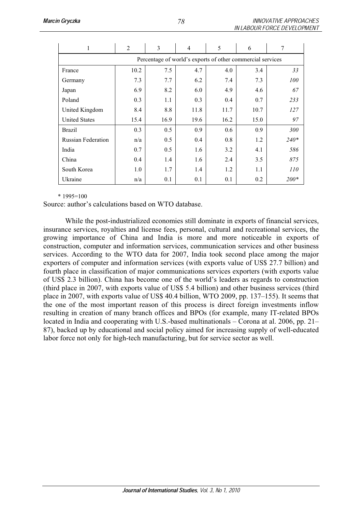|                                                            | $\overline{c}$ | 3    | 4    | 5    | 6    | 7      |  |  |  |
|------------------------------------------------------------|----------------|------|------|------|------|--------|--|--|--|
| Percentage of world's exports of other commercial services |                |      |      |      |      |        |  |  |  |
| France                                                     | 10.2           | 7.5  | 4.7  | 4.0  | 3.4  | 33     |  |  |  |
| Germany                                                    | 7.3            | 7.7  | 6.2  | 7.4  | 7.3  | 100    |  |  |  |
| Japan                                                      | 6.9            | 8.2  | 6.0  | 4.9  | 4.6  | 67     |  |  |  |
| Poland                                                     | 0.3            | 1.1  | 0.3  | 0.4  | 0.7  | 233    |  |  |  |
| United Kingdom                                             | 8.4            | 8.8  | 11.8 | 11.7 | 10.7 | 127    |  |  |  |
| <b>United States</b>                                       | 15.4           | 16.9 | 19.6 | 16.2 | 15.0 | 97     |  |  |  |
| <b>Brazil</b>                                              | 0.3            | 0.5  | 0.9  | 0.6  | 0.9  | 300    |  |  |  |
| <b>Russian Federation</b>                                  | n/a            | 0.5  | 0.4  | 0.8  | 1.2  | $240*$ |  |  |  |
| India                                                      | 0.7            | 0.5  | 1.6  | 3.2  | 4.1  | 586    |  |  |  |
| China                                                      | 0.4            | 1.4  | 1.6  | 2.4  | 3.5  | 875    |  |  |  |
| South Korea                                                | 1.0            | 1.7  | 1.4  | 1.2  | 1.1  | 110    |  |  |  |
| Ukraine                                                    | n/a            | 0.1  | 0.1  | 0.1  | 0.2  | $200*$ |  |  |  |

#### $*1995=100$

Source: author's calculations based on WTO database.

 While the post-industrialized economies still dominate in exports of financial services, insurance services, royalties and license fees, personal, cultural and recreational services, the growing importance of China and India is more and more noticeable in exports of construction, computer and information services, communication services and other business services. According to the WTO data for 2007, India took second place among the major exporters of computer and information services (with exports value of US\$ 27.7 billion) and fourth place in classification of major communications services exporters (with exports value of US\$ 2.3 billion). China has become one of the world's leaders as regards to construction (third place in 2007, with exports value of US\$ 5.4 billion) and other business services (third place in 2007, with exports value of US\$ 40.4 billion, WTO 2009, pp. 137–155). It seems that the one of the most important reason of this process is direct foreign investments inflow resulting in creation of many branch offices and BPOs (for example, many IT-related BPOs located in India and cooperating with U.S.-based multinationals – Corona at al. 2006, pp. 21– 87), backed up by educational and social policy aimed for increasing supply of well-educated labor force not only for high-tech manufacturing, but for service sector as well.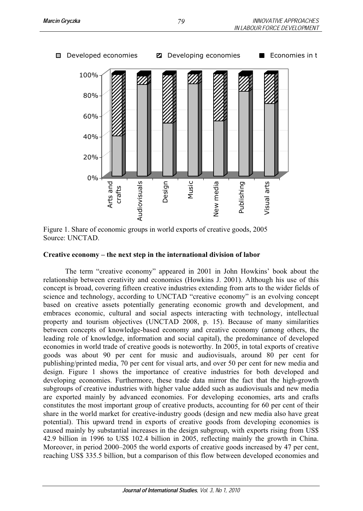

Figure 1. Share of economic groups in world exports of creative goods, 2005 Source: UNCTAD.

# **Creative economy – the next step in the international division of labor**

The term "creative economy" appeared in 2001 in John Howkins' book about the relationship between creativity and economics (Howkins J. 2001). Although his use of this concept is broad, covering fifteen creative industries extending from arts to the wider fields of science and technology, according to UNCTAD "creative economy" is an evolving concept based on creative assets potentially generating economic growth and development, and embraces economic, cultural and social aspects interacting with technology, intellectual property and tourism objectives (UNCTAD 2008, p. 15). Because of many similarities between concepts of knowledge-based economy and creative economy (among others, the leading role of knowledge, information and social capital), the predominance of developed economies in world trade of creative goods is noteworthy. In 2005, in total exports of creative goods was about 90 per cent for music and audiovisuals, around 80 per cent for publishing/printed media, 70 per cent for visual arts, and over 50 per cent for new media and design. Figure 1 shows the importance of creative industries for both developed and developing economies. Furthermore, these trade data mirror the fact that the high-growth subgroups of creative industries with higher value added such as audiovisuals and new media are exported mainly by advanced economies. For developing economies, arts and crafts constitutes the most important group of creative products, accounting for 60 per cent of their share in the world market for creative-industry goods (design and new media also have great potential). This upward trend in exports of creative goods from developing economies is caused mainly by substantial increases in the design subgroup, with exports rising from US\$ 42.9 billion in 1996 to US\$ 102.4 billion in 2005, reflecting mainly the growth in China. Moreover, in period 2000–2005 the world exports of creative goods increased by 47 per cent, reaching US\$ 335.5 billion, but a comparison of this flow between developed economies and

Developed economies **D** Developing economies **E** Economies in t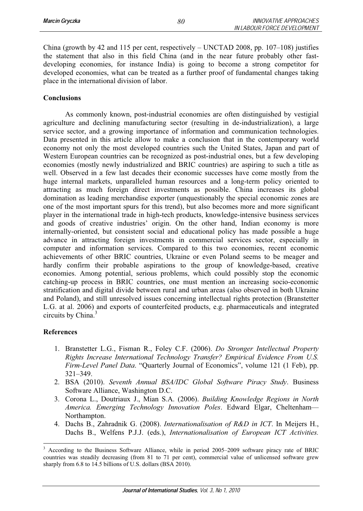China (growth by 42 and 115 per cent, respectively – UNCTAD 2008, pp. 107–108) justifies the statement that also in this field China (and in the near future probably other fastdeveloping economies, for instance India) is going to become a strong competitor for developed economies, what can be treated as a further proof of fundamental changes taking place in the international division of labor.

## **Conclusions**

 As commonly known, post-industrial economies are often distinguished by vestigial agriculture and declining manufacturing sector (resulting in de-industrialization), a large service sector, and a growing importance of information and communication technologies. Data presented in this article allow to make a conclusion that in the contemporary world economy not only the most developed countries such the United States, Japan and part of Western European countries can be recognized as post-industrial ones, but a few developing economies (mostly newly industrialized and BRIC countries) are aspiring to such a title as well. Observed in a few last decades their economic successes have come mostly from the huge internal markets, unparalleled human resources and a long-term policy oriented to attracting as much foreign direct investments as possible. China increases its global domination as leading merchandise exporter (unquestionably the special economic zones are one of the most important spurs for this trend), but also becomes more and more significant player in the international trade in high-tech products, knowledge-intensive business services and goods of creative industries' origin. On the other hand, Indian economy is more internally-oriented, but consistent social and educational policy has made possible a huge advance in attracting foreign investments in commercial services sector, especially in computer and information services. Compared to this two economies, recent economic achievements of other BRIC countries, Ukraine or even Poland seems to be meager and hardly confirm their probable aspirations to the group of knowledge-based, creative economies. Among potential, serious problems, which could possibly stop the economic catching-up process in BRIC countries, one must mention an increasing socio-economic stratification and digital divide between rural and urban areas (also observed in both Ukraine and Poland), and still unresolved issues concerning intellectual rights protection (Branstetter L.G. at al. 2006) and exports of counterfeited products, e.g. pharmaceuticals and integrated circuits by China. $3$ 

## **References**

- 1. Branstetter L.G., Fisman R., Foley C.F. (2006). *Do Stronger Intellectual Property Rights Increase International Technology Transfer? Empirical Evidence From U.S. Firm-Level Panel Data*. "Quarterly Journal of Economics", volume 121 (1 Feb), pp. 321–349.
- 2. BSA (2010). *Seventh Annual BSA/IDC Global Software Piracy Study*. Business Software Alliance, Washington D.C.
- 3. Corona L., Doutriaux J., Mian S.A. (2006). *Building Knowledge Regions in North America. Emerging Technology Innovation Poles*. Edward Elgar, Cheltenham— Northampton.
- 4. Dachs B., Zahradnik G. (2008). *Internationalisation of R&D in ICT*. In Meijers H., Dachs B., Welfens P.J.J. (eds.), *Internationalisation of European ICT Activities.*

*80*

<sup>3</sup> According to the Business Software Alliance, while in period 2005–2009 software piracy rate of BRIC countries was steadily decreasing (from 81 to 71 per cent), commercial value of unlicensed software grew sharply from 6.8 to 14.5 billions of U.S. dollars (BSA 2010).